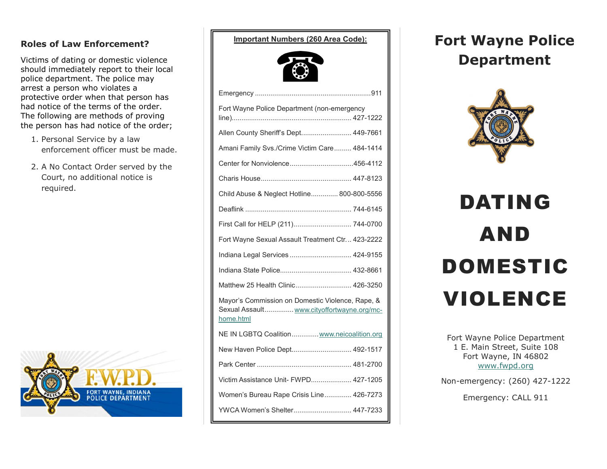### **Roles of Law Enforcement?**

Victims of dating or domestic violence should immediately report to their local police department. The police may arrest a person who violates a protective order when that person has had notice of the terms of the order. The following are methods of proving the person has had notice of the order;

- 1. Personal Service by a law enforcement officer must be made.
- 2. A No Contact Order served by the Court, no additional notice is required.



**Important Numbers (260 Area Code):**



| Fort Wayne Police Department (non-emergency                                                                 |
|-------------------------------------------------------------------------------------------------------------|
| Allen County Sheriff's Dept 449-7661                                                                        |
| Amani Family Svs./Crime Victim Care 484-1414                                                                |
|                                                                                                             |
|                                                                                                             |
| Child Abuse & Neglect Hotline 800-800-5556                                                                  |
|                                                                                                             |
| First Call for HELP (211) 744-0700                                                                          |
| Fort Wayne Sexual Assault Treatment Ctr 423-2222                                                            |
| Indiana Legal Services  424-9155                                                                            |
|                                                                                                             |
| Matthew 25 Health Clinic 426-3250                                                                           |
| Mayor's Commission on Domestic Violence, Rape, &<br>Sexual Assault www.cityoffortwayne.org/mc-<br>home.html |
| NE IN LGBTQ Coalition www.neicoalition.org                                                                  |
| New Haven Police Dept 492-1517                                                                              |
|                                                                                                             |
| Victim Assistance Unit- FWPD 427-1205                                                                       |
| Women's Bureau Rape Crisis Line 426-7273                                                                    |
| YWCA Women's Shelter 447-7233                                                                               |

# **Fort Wayne Police Department**



# DATING AND DOMESTIC VIOLENCE

Fort Wayne Police Department 1 E. Main Street, Suite 108 Fort Wayne, IN 46802 [www.fwpd.org](http://www.fwpd.org/)

Non-emergency: (260) 427-1222

Emergency: CALL 911